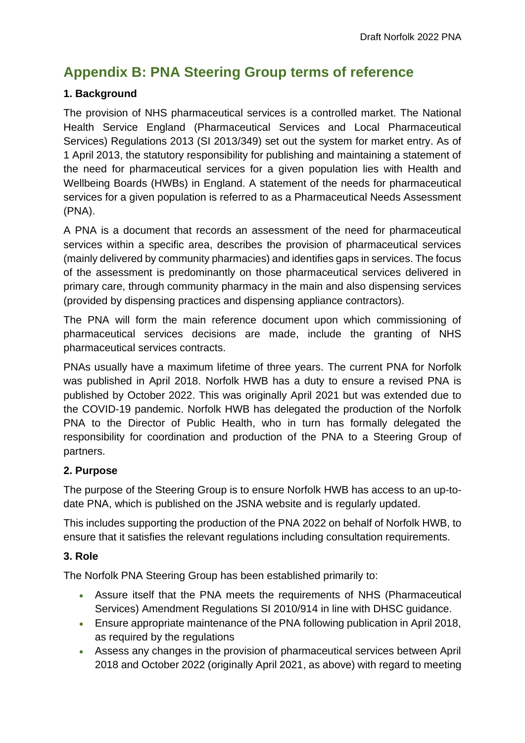# **Appendix B: PNA Steering Group terms of reference**

## **1. Background**

The provision of NHS pharmaceutical services is a controlled market. The National Health Service England (Pharmaceutical Services and Local Pharmaceutical Services) Regulations 2013 (SI 2013/349) set out the system for market entry. As of 1 April 2013, the statutory responsibility for publishing and maintaining a statement of the need for pharmaceutical services for a given population lies with Health and Wellbeing Boards (HWBs) in England. A statement of the needs for pharmaceutical services for a given population is referred to as a Pharmaceutical Needs Assessment (PNA).

A PNA is a document that records an assessment of the need for pharmaceutical services within a specific area, describes the provision of pharmaceutical services (mainly delivered by community pharmacies) and identifies gaps in services. The focus of the assessment is predominantly on those pharmaceutical services delivered in primary care, through community pharmacy in the main and also dispensing services (provided by dispensing practices and dispensing appliance contractors).

The PNA will form the main reference document upon which commissioning of pharmaceutical services decisions are made, include the granting of NHS pharmaceutical services contracts.

PNAs usually have a maximum lifetime of three years. The current PNA for Norfolk was published in April 2018. Norfolk HWB has a duty to ensure a revised PNA is published by October 2022. This was originally April 2021 but was extended due to the COVID-19 pandemic. Norfolk HWB has delegated the production of the Norfolk PNA to the Director of Public Health, who in turn has formally delegated the responsibility for coordination and production of the PNA to a Steering Group of partners.

## **2. Purpose**

The purpose of the Steering Group is to ensure Norfolk HWB has access to an up-todate PNA, which is published on the JSNA website and is regularly updated.

This includes supporting the production of the PNA 2022 on behalf of Norfolk HWB, to ensure that it satisfies the relevant regulations including consultation requirements.

## **3. Role**

The Norfolk PNA Steering Group has been established primarily to:

- Assure itself that the PNA meets the requirements of NHS (Pharmaceutical Services) Amendment Regulations SI 2010/914 in line with DHSC guidance.
- Ensure appropriate maintenance of the PNA following publication in April 2018, as required by the regulations
- Assess any changes in the provision of pharmaceutical services between April 2018 and October 2022 (originally April 2021, as above) with regard to meeting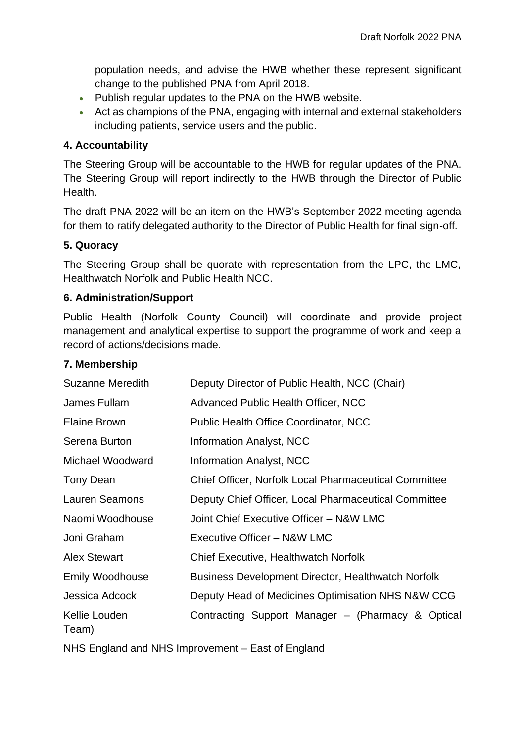population needs, and advise the HWB whether these represent significant change to the published PNA from April 2018.

- Publish regular updates to the PNA on the HWB website.
- Act as champions of the PNA, engaging with internal and external stakeholders including patients, service users and the public.

## **4. Accountability**

The Steering Group will be accountable to the HWB for regular updates of the PNA. The Steering Group will report indirectly to the HWB through the Director of Public Health.

The draft PNA 2022 will be an item on the HWB's September 2022 meeting agenda for them to ratify delegated authority to the Director of Public Health for final sign-off.

#### **5. Quoracy**

The Steering Group shall be quorate with representation from the LPC, the LMC, Healthwatch Norfolk and Public Health NCC.

## **6. Administration/Support**

Public Health (Norfolk County Council) will coordinate and provide project management and analytical expertise to support the programme of work and keep a record of actions/decisions made.

#### **7. Membership**

| <b>Suzanne Meredith</b>                           | Deputy Director of Public Health, NCC (Chair)                |
|---------------------------------------------------|--------------------------------------------------------------|
| James Fullam                                      | Advanced Public Health Officer, NCC                          |
| <b>Elaine Brown</b>                               | <b>Public Health Office Coordinator, NCC</b>                 |
| Serena Burton                                     | <b>Information Analyst, NCC</b>                              |
| Michael Woodward                                  | Information Analyst, NCC                                     |
| Tony Dean                                         | <b>Chief Officer, Norfolk Local Pharmaceutical Committee</b> |
| <b>Lauren Seamons</b>                             | Deputy Chief Officer, Local Pharmaceutical Committee         |
| Naomi Woodhouse                                   | Joint Chief Executive Officer - N&W LMC                      |
| Joni Graham                                       | Executive Officer - N&W LMC                                  |
| <b>Alex Stewart</b>                               | <b>Chief Executive, Healthwatch Norfolk</b>                  |
| <b>Emily Woodhouse</b>                            | <b>Business Development Director, Healthwatch Norfolk</b>    |
| Jessica Adcock                                    | Deputy Head of Medicines Optimisation NHS N&W CCG            |
| Kellie Louden<br>Team)                            | Contracting Support Manager - (Pharmacy & Optical            |
| NHS England and NHS Improvement – East of England |                                                              |